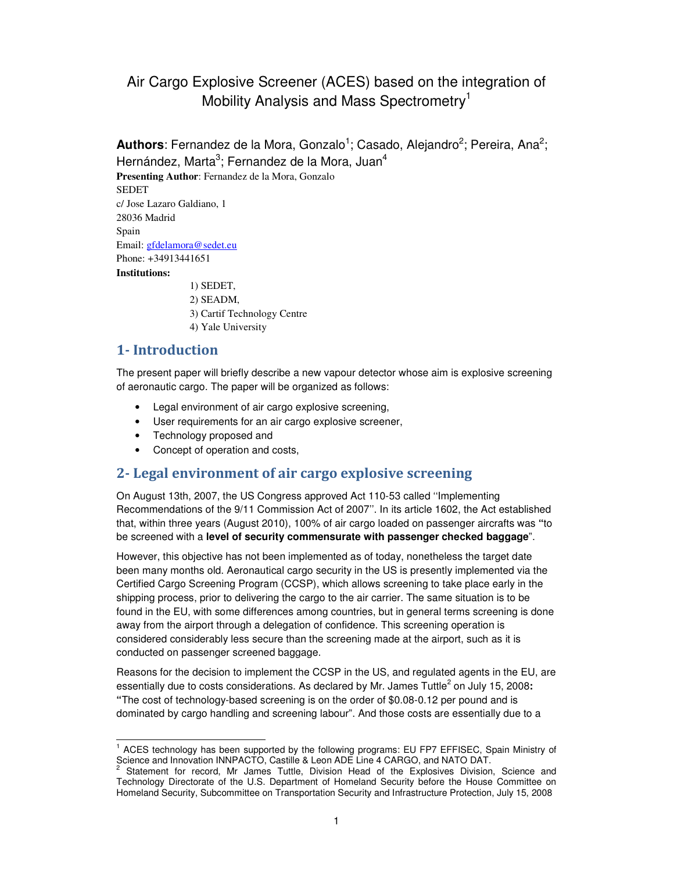# Air Cargo Explosive Screener (ACES) based on the integration of Mobility Analysis and Mass Spectrometry<sup>1</sup>

Authors: Fernandez de la Mora, Gonzalo<sup>1</sup>; Casado, Alejandro<sup>2</sup>; Pereira, Ana<sup>2</sup>; Hernández, Marta<sup>3</sup>; Fernandez de la Mora, Juan<sup>4</sup>

**Presenting Author**: Fernandez de la Mora, Gonzalo **SEDET** c/ Jose Lazaro Galdiano, 1 28036 Madrid Spain Email: gfdelamora@sedet.eu Phone: +34913441651 **Institutions:**  1) SEDET,

2) SEADM, 3) Cartif Technology Centre 4) Yale University

### **1- Introduction**

The present paper will briefly describe a new vapour detector whose aim is explosive screening of aeronautic cargo. The paper will be organized as follows:

- Legal environment of air cargo explosive screening,
- User requirements for an air cargo explosive screener,
- Technology proposed and
- Concept of operation and costs,

#### **2- Legal environment of air cargo explosive screening**

On August 13th, 2007, the US Congress approved Act 110-53 called ''Implementing Recommendations of the 9/11 Commission Act of 2007''. In its article 1602, the Act established that, within three years (August 2010), 100% of air cargo loaded on passenger aircrafts was **"**to be screened with a **level of security commensurate with passenger checked baggage**".

However, this objective has not been implemented as of today, nonetheless the target date been many months old. Aeronautical cargo security in the US is presently implemented via the Certified Cargo Screening Program (CCSP), which allows screening to take place early in the shipping process, prior to delivering the cargo to the air carrier. The same situation is to be found in the EU, with some differences among countries, but in general terms screening is done away from the airport through a delegation of confidence. This screening operation is considered considerably less secure than the screening made at the airport, such as it is conducted on passenger screened baggage.

Reasons for the decision to implement the CCSP in the US, and regulated agents in the EU, are essentially due to costs considerations. As declared by Mr. James Tuttle<sup>2</sup> on July 15, 2008: **"**The cost of technology-based screening is on the order of \$0.08-0.12 per pound and is dominated by cargo handling and screening labour". And those costs are essentially due to a

 1 ACES technology has been supported by the following programs: EU FP7 EFFISEC, Spain Ministry of Science and Innovation INNPACTO, Castille & Leon ADE Line 4 CARGO, and NATO DAT.<br>2. Statement, for reserd. Mr. James, Tuttle, Division, Head, of the Evalssives, Division

Statement for record, Mr James Tuttle, Division Head of the Explosives Division, Science and Technology Directorate of the U.S. Department of Homeland Security before the House Committee on Homeland Security, Subcommittee on Transportation Security and Infrastructure Protection, July 15, 2008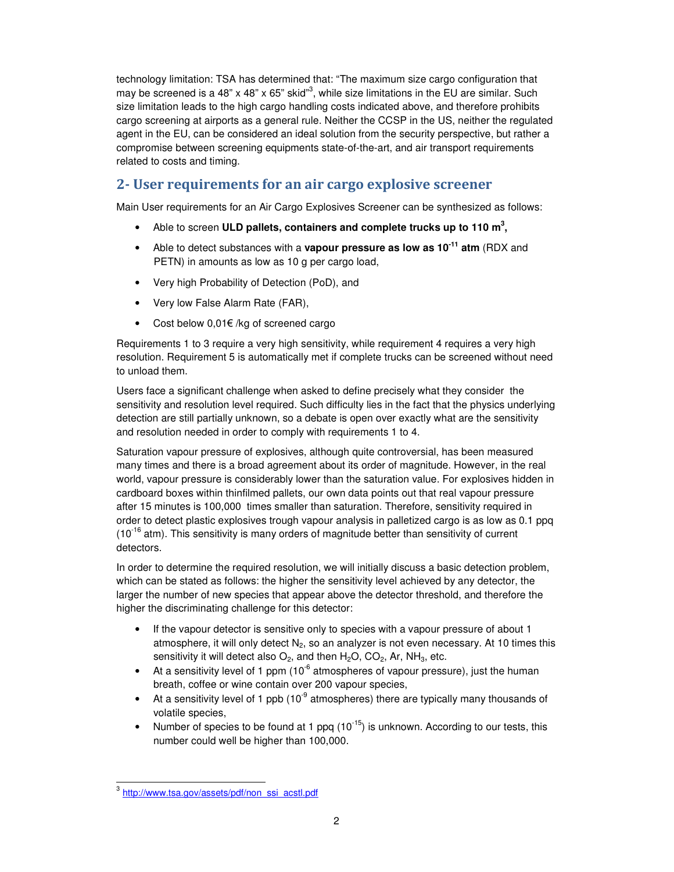technology limitation: TSA has determined that: "The maximum size cargo configuration that may be screened is a 48" x 48" x 65" skid"<sup>3</sup>, while size limitations in the EU are similar. Such size limitation leads to the high cargo handling costs indicated above, and therefore prohibits cargo screening at airports as a general rule. Neither the CCSP in the US, neither the regulated agent in the EU, can be considered an ideal solution from the security perspective, but rather a compromise between screening equipments state-of-the-art, and air transport requirements related to costs and timing.

### **2- User requirements for an air cargo explosive screener**

Main User requirements for an Air Cargo Explosives Screener can be synthesized as follows:

- Able to screen **ULD pallets, containers and complete trucks up to 110 m<sup>3</sup> ,**
- Able to detect substances with a **vapour pressure as low as 10-11 atm** (RDX and PETN) in amounts as low as 10 g per cargo load,
- Very high Probability of Detection (PoD), and
- Very low False Alarm Rate (FAR),
- Cost below 0,01€ /kg of screened cargo

Requirements 1 to 3 require a very high sensitivity, while requirement 4 requires a very high resolution. Requirement 5 is automatically met if complete trucks can be screened without need to unload them.

Users face a significant challenge when asked to define precisely what they consider the sensitivity and resolution level required. Such difficulty lies in the fact that the physics underlying detection are still partially unknown, so a debate is open over exactly what are the sensitivity and resolution needed in order to comply with requirements 1 to 4.

Saturation vapour pressure of explosives, although quite controversial, has been measured many times and there is a broad agreement about its order of magnitude. However, in the real world, vapour pressure is considerably lower than the saturation value. For explosives hidden in cardboard boxes within thinfilmed pallets, our own data points out that real vapour pressure after 15 minutes is 100,000 times smaller than saturation. Therefore, sensitivity required in order to detect plastic explosives trough vapour analysis in palletized cargo is as low as 0.1 ppq  $(10^{-16}$  atm). This sensitivity is many orders of magnitude better than sensitivity of current detectors.

In order to determine the required resolution, we will initially discuss a basic detection problem, which can be stated as follows: the higher the sensitivity level achieved by any detector, the larger the number of new species that appear above the detector threshold, and therefore the higher the discriminating challenge for this detector:

- If the vapour detector is sensitive only to species with a vapour pressure of about 1 atmosphere, it will only detect  $N_2$ , so an analyzer is not even necessary. At 10 times this sensitivity it will detect also  $O_2$ , and then  $H_2O$ ,  $CO_2$ , Ar, NH<sub>3</sub>, etc.
- At a sensitivity level of 1 ppm  $(10^{-6}$  atmospheres of vapour pressure), just the human breath, coffee or wine contain over 200 vapour species,
- At a sensitivity level of 1 ppb (10<sup>-9</sup> atmospheres) there are typically many thousands of volatile species,
- Number of species to be found at 1 ppq  $(10^{-15})$  is unknown. According to our tests, this number could well be higher than 100,000.

<sup>&</sup>lt;sup>3</sup>http://www.tsa.gov/assets/pdf/non\_ssi\_acstl.pdf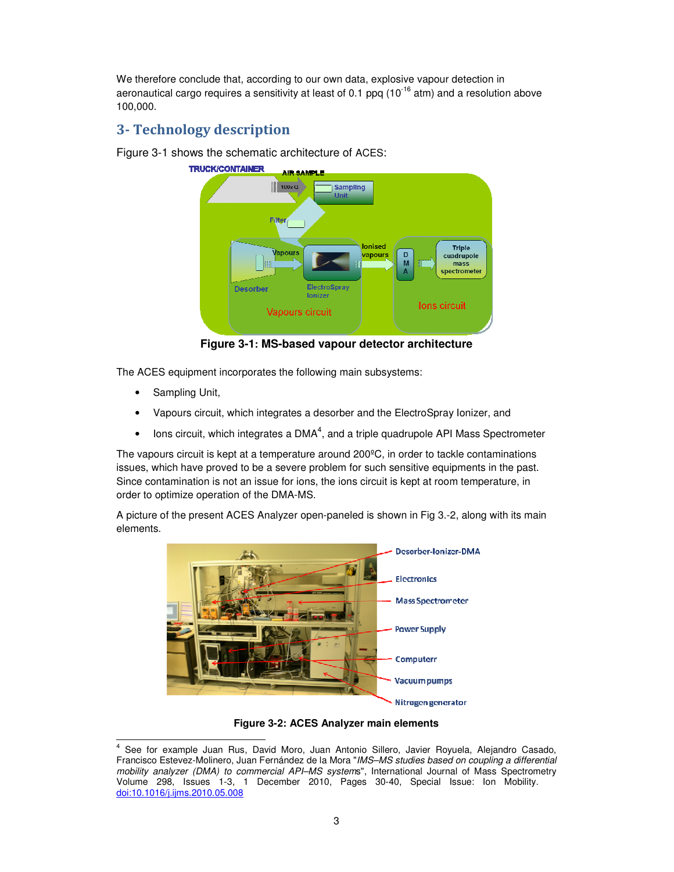We therefore conclude that, according to our own data, explosive vapour detection in aeronautical cargo requires a sensitivity at least of 0.1 ppq  $(10^{-16} \text{ atm})$  and a resolution above 100,000.

# **3- Technology description**

Figure 3-1 shows the schematic architecture of ACES:



**Figure 3-1: MS-based vapour detector architecture** 

The ACES equipment incorporates the following main subsystems:

- Sampling Unit,
- Vapours circuit, which integrates a desorber and the ElectroSpray Ionizer, and
- $\bullet$  lons circuit, which integrates a DMA<sup>4</sup>, and a triple quadrupole API Mass Spectrometer

The vapours circuit is kept at a temperature around 200ºC, in order to tackle contaminations issues, which have proved to be a severe problem for such sensitive equipments in the past. Since contamination is not an issue for ions, the ions circuit is kept at room temperature, in order to optimize operation of the DMA-MS.

A picture of the present ACES Analyzer open-paneled is shown in Fig 3.-2, along with its main elements.



**Figure 3-2: ACES Analyzer main elements** 

 4 See for example Juan Rus, David Moro, Juan Antonio Sillero, Javier Royuela, Alejandro Casado, Francisco Estevez-Molinero, Juan Fernández de la Mora "IMS–MS studies based on coupling a differential mobility analyzer (DMA) to commercial API-MS systems", International Journal of Mass Spectrometry Volume 298, Issues 1-3, 1 December 2010, Pages 30-40, Special Issue: Ion Mobility. doi:10.1016/j.ijms.2010.05.008